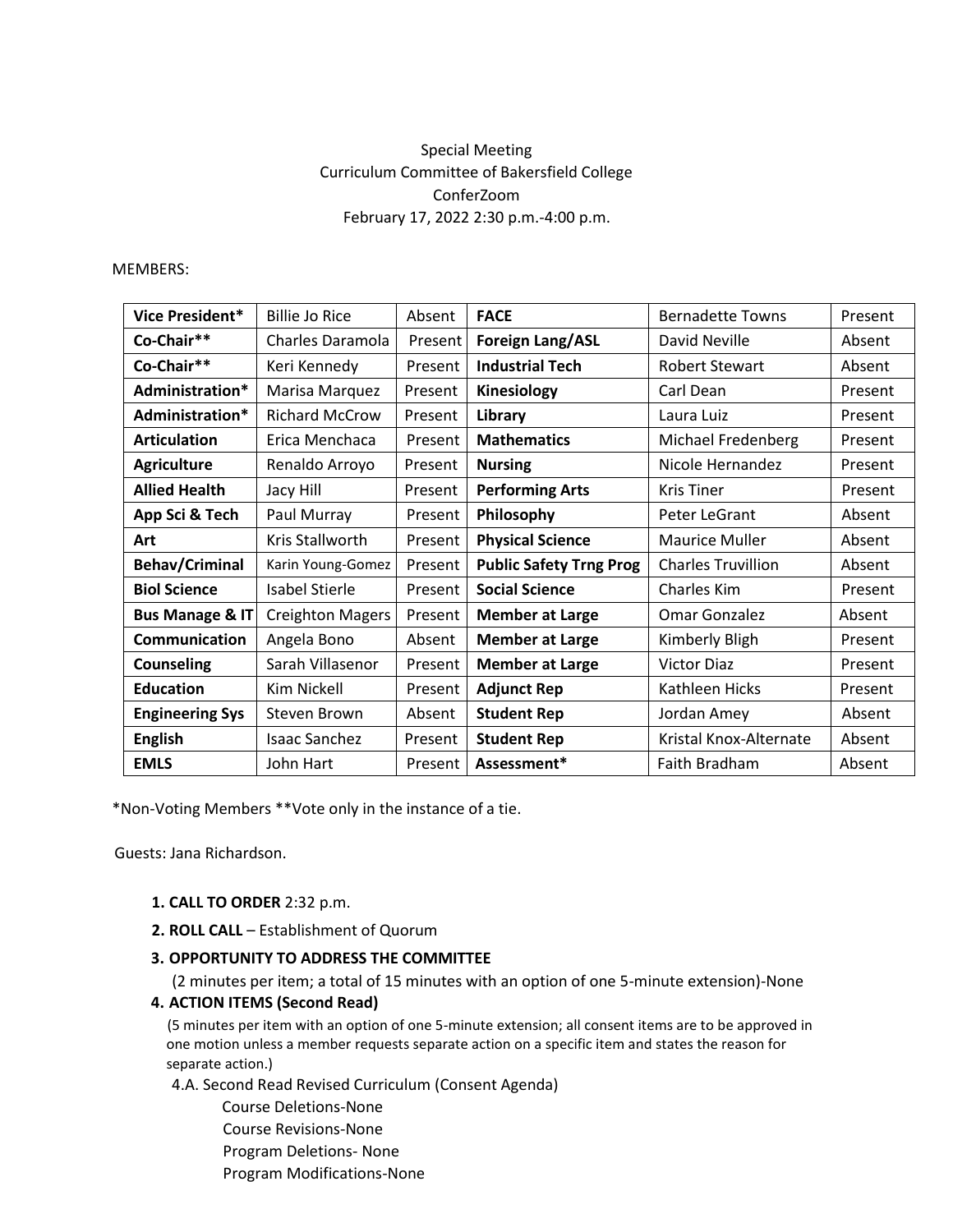# Special Meeting Curriculum Committee of Bakersfield College ConferZoom February 17, 2022 2:30 p.m.-4:00 p.m.

#### MEMBERS:

| Vice President*            | <b>Billie Jo Rice</b>   | Absent  | <b>FACE</b>                    | <b>Bernadette Towns</b>   | Present |
|----------------------------|-------------------------|---------|--------------------------------|---------------------------|---------|
| Co-Chair**                 | Charles Daramola        | Present | <b>Foreign Lang/ASL</b>        | David Neville             | Absent  |
| Co-Chair**                 | Keri Kennedy            | Present | <b>Industrial Tech</b>         | <b>Robert Stewart</b>     | Absent  |
| Administration*            | Marisa Marquez          | Present | Kinesiology                    | Carl Dean                 | Present |
| Administration*            | <b>Richard McCrow</b>   | Present | Library                        | Laura Luiz                | Present |
| <b>Articulation</b>        | Erica Menchaca          | Present | <b>Mathematics</b>             | Michael Fredenberg        | Present |
| <b>Agriculture</b>         | Renaldo Arroyo          | Present | <b>Nursing</b>                 | Nicole Hernandez          | Present |
| <b>Allied Health</b>       | Jacy Hill               | Present | <b>Performing Arts</b>         | <b>Kris Tiner</b>         | Present |
| App Sci & Tech             | Paul Murray             | Present | Philosophy                     | Peter LeGrant             | Absent  |
| Art                        | Kris Stallworth         | Present | <b>Physical Science</b>        | <b>Maurice Muller</b>     | Absent  |
| <b>Behav/Criminal</b>      | Karin Young-Gomez       | Present | <b>Public Safety Trng Prog</b> | <b>Charles Truvillion</b> | Absent  |
| <b>Biol Science</b>        | <b>Isabel Stierle</b>   | Present | <b>Social Science</b>          | Charles Kim               | Present |
| <b>Bus Manage &amp; IT</b> | <b>Creighton Magers</b> | Present | <b>Member at Large</b>         | <b>Omar Gonzalez</b>      | Absent  |
| Communication              | Angela Bono             | Absent  | <b>Member at Large</b>         | Kimberly Bligh            | Present |
| <b>Counseling</b>          | Sarah Villasenor        | Present | <b>Member at Large</b>         | <b>Victor Diaz</b>        | Present |
| <b>Education</b>           | Kim Nickell             | Present | <b>Adjunct Rep</b>             | Kathleen Hicks            | Present |
| <b>Engineering Sys</b>     | Steven Brown            | Absent  | <b>Student Rep</b>             | Jordan Amey               | Absent  |
| <b>English</b>             | Isaac Sanchez           | Present | <b>Student Rep</b>             | Kristal Knox-Alternate    | Absent  |
| <b>EMLS</b>                | John Hart               | Present | Assessment*                    | Faith Bradham             | Absent  |

\*Non-Voting Members \*\*Vote only in the instance of a tie.

Guests: Jana Richardson.

- **1. CALL TO ORDER** 2:32 p.m.
- **2. ROLL CALL**  Establishment of Quorum

## **3. OPPORTUNITY TO ADDRESS THE COMMITTEE**

(2 minutes per item; a total of 15 minutes with an option of one 5-minute extension)-None

**4. ACTION ITEMS (Second Read)** 

(5 minutes per item with an option of one 5-minute extension; all consent items are to be approved in one motion unless a member requests separate action on a specific item and states the reason for separate action.)

4.A. Second Read Revised Curriculum (Consent Agenda)

 Course Deletions-None Course Revisions-None Program Deletions- None Program Modifications-None